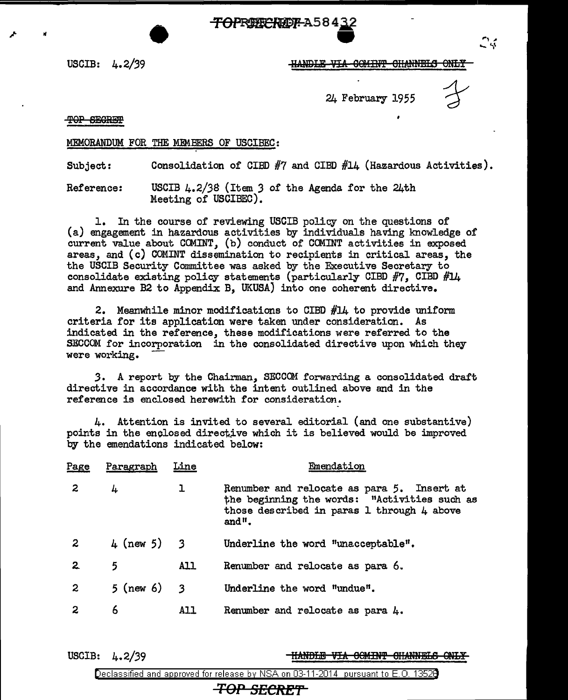• ~A584'Jj.  $\frac{132}{2}$ 

USCIB: 4.2/39

24 February 1955

. 4

TOP SEGRET

#### MEMORANDUM FOR THE MEMBERS OF USCIBEC:

Subject: Consolidation of CIBD  $#7$  and CIBD  $#14$  (Hazardous Activities).

Reference: USCIB 4.2/38 (Item *3* of the Agenda. for the 24th Meeting of USCIBEC).

1. In the course of reviewing USCIB policy on the questions of (a) engagement in hazardous activities by indiYiduals having knowledge of current value about COMINT, (b) conduct *ot* COMINT activities in exposed areas, and (c) COMINT dissemination to recipients in critical areas, the the USCIB Security Committee was asked by the Executive Secretary to consolidate existing policy statements (particularly CIBD  $#7$ , CIBD  $#14$ and Annexure B2 to Appendix B, UKUSA) into one coherent directive.

2. Meanwhile minor modifications to CIBD #14 to provide uniform criteria for its application were taken under consideration. As indicated in the reference, these modifications were referred to the SECCOM for incorporation in the consolidated directive upon which they were working.

*3.* A report by the Chairman, SECCOM forwarding a consolidated draft directive in accordance with the intent outlined above and in the reference is enclosed herewith for consideration.

4. Attention is invited to several editorial (and one substantive) points in the enclosed directive which it is believed would be improved by the emendations indicated below:

| Page         | Paragraph   | Line       | Emendation                                                                                                                                        |
|--------------|-------------|------------|---------------------------------------------------------------------------------------------------------------------------------------------------|
| $\mathbf{2}$ | 4           | ı          | Renumber and relocate as para 5. Insert at<br>the beginning the words: "Activities such as<br>those described in paras 1 through 4 above<br>and". |
| 2            | 4 (new 5) 3 |            | Underline the word "unacceptable".                                                                                                                |
| $\mathbf{2}$ | 5.          | <b>All</b> | Renumber and relocate as para 6.                                                                                                                  |
| 2            | 5 (new 6) 3 |            | Underline the word "undue".                                                                                                                       |
| 2            | 6           | A11        | Renumber and relocate as para $4.$                                                                                                                |
|              |             |            |                                                                                                                                                   |

USCIB: 4. 2/39

<del>'HANDLE VIA OOMINT CHANNELS ONLY</del>

Declassified and approved for release by NSA on 03-11-2014 pursuant to E. 0. 1352B

**TOP SECRET**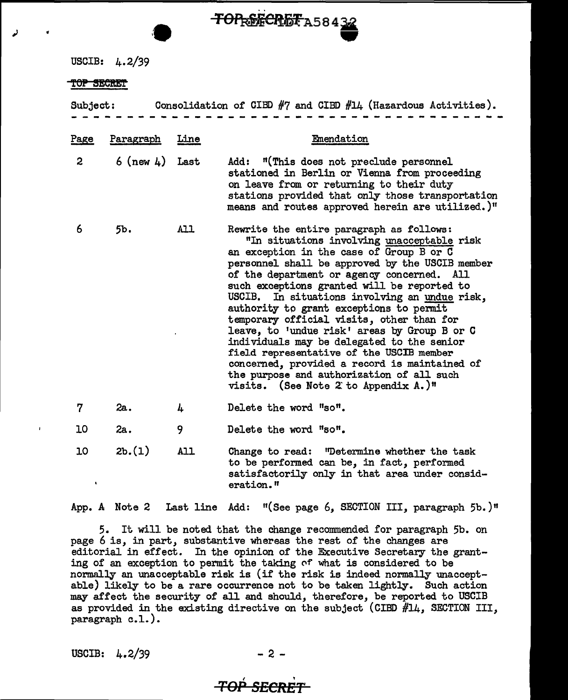USCIB: 4.2/39

#### TOP SECRET

Subject: Consolidation of CIBD  $#7$  and CIBD  $#14$  (Hazardous Activities).

 $T$ OP<sub>R</sub>&ECRET<sub>A58432</sub>

| <u>Page</u>          | Paragraph           | Line       | Emendation                                                                                                                                                                                                                                                                                                                                                                                                                                                                                                                                                                                                                                                                                                  |
|----------------------|---------------------|------------|-------------------------------------------------------------------------------------------------------------------------------------------------------------------------------------------------------------------------------------------------------------------------------------------------------------------------------------------------------------------------------------------------------------------------------------------------------------------------------------------------------------------------------------------------------------------------------------------------------------------------------------------------------------------------------------------------------------|
| $\mathbf{2}$         | $6$ (new $4$ ) Last |            | Add: "(This does not preclude personnel<br>stationed in Berlin or Vienna from proceeding<br>on leave from or returning to their duty<br>stations provided that only those transportation<br>means and routes approved herein are utilized.)"                                                                                                                                                                                                                                                                                                                                                                                                                                                                |
| 6                    | 5b.                 | All        | Rewrite the entire paragraph as follows:<br>"In situations involving unacceptable risk<br>an exception in the case of Group B or C<br>personnel shall be approved by the USCIB member<br>of the department or agency concerned. All<br>such exceptions granted will be reported to<br>USCIB. In situations involving an undue risk,<br>authority to grant exceptions to permit<br>temporary official visits, other than for<br>leave, to 'undue risk' areas by Group B or C<br>individuals may be delegated to the senior<br>field representative of the USCIB member<br>concerned, provided a record is maintained of<br>the purpose and authorization of all such<br>visits. (See Note 2 to Appendix A.)" |
| 7                    | 2а.                 | 4          | Delete the word "so".                                                                                                                                                                                                                                                                                                                                                                                                                                                                                                                                                                                                                                                                                       |
| 10                   | 2a.                 | 9          | Delete the word "so".                                                                                                                                                                                                                                                                                                                                                                                                                                                                                                                                                                                                                                                                                       |
| 10<br>$\blacksquare$ | 2b.(1)              | <b>All</b> | Change to read: "Determine whether the task<br>to be performed can be, in fact, performed<br>satisfactorily only in that area under consid-<br>eration."                                                                                                                                                                                                                                                                                                                                                                                                                                                                                                                                                    |

App. A Note 2 Last line Add: "(See page 6, SECTION III, paragraph 5b.)"

5. It will be noted that the change recommended for paragraph 5b. on page 6 is, in part, substantive whereas the rest of the changes are editorial in effect. In the opinion of the Executive Secretary the granting of an exception to permit the taking of what is considered to be normally an unacceptable risk is (if the risk is indeed normally unacceptable) likely to be a rare occurrence not to be taken lightly. Such action may affect the security of all and should, therefore, be reported to USCIB as provided in the existing directive on the subject (CIBD  $#14$ , SECTION III, paragraph  $c.l.$ ).

USCIB:  $4.2/39$ 

### $\zeta$  are  $\zeta$ **TOP SECRET**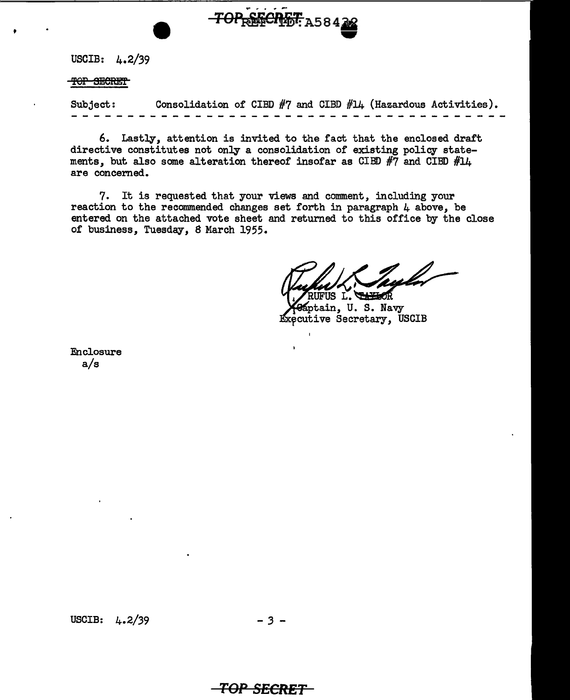

USCIB: 4.2/39

TOP SECRET

'

Subject: Consolidation of CIBD #7 and CIBD #14 (Hazardous Activities).

6. Lastly, attention is invited to the fact that the enclosed draft directive constitutes not only a consolidation of existing policy statements, but also some alteration thereof insofar as CIBD  $#7$  and CIBD  $#14$ are concemed.

7. It is requested that your views and comment, including your reaction to the recommended changes set forth in paragraph  $\mu$  above, be entered on the attached vote sheet and retumed to this office by the close of business, Tuesday, 8 March 1955.

Taislev UFUS L.

Aptain, U.S. Navy Executive Secretary, USCIB

Enclosure a/s

USCIB:  $4.2/39$  - 3 -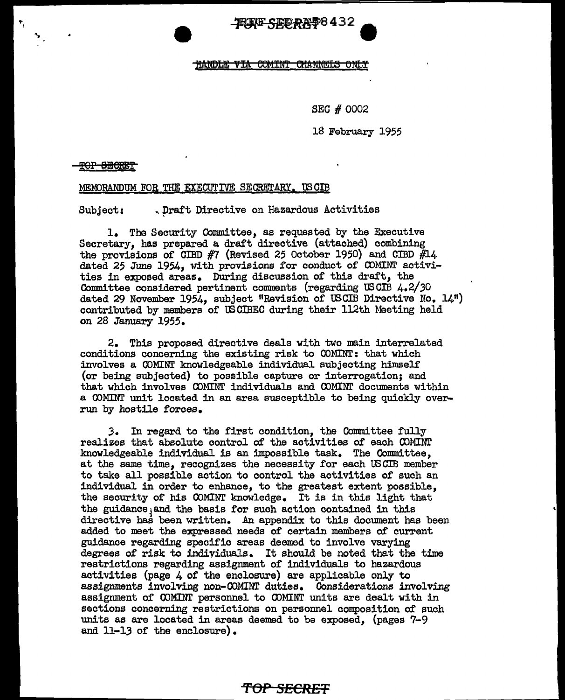JRIN<del>G SICORRI</del>S 432

#### **HANDLE VIA COMINT CHANNELS ONLY**

SEC # 0002

18 February 1955

**'fOP SEBH!'f** 

MEMORANDUM FOR THE EXECUTIVE SECRETARY. US CIB

Subject: .. Draft Directive on Hazardous Activities

1. The Security Committee, as requested by the Executive Secretary, has prepared a draft directive (attached) combining the provisions of CIBD  $#7$  (Revised 25 October 1950) and CIBD  $#14$ dated 25 June 1954, with provisions for conduct of COMINT activities in exposed areas. During discussion of this draft, the Committee considered pertinent comments (regarding USCIB 4.2/30 dated 29 November 1954, subject "Revision of USCIB Directive No.  $14$ ") contributed by members of USOIBEO during their 112th Meeting held on 28 January 1955.

2. This proposed directive deals with two main interrelated conditions concerning the existing risk to COMINT: that which involves a COMINr knowledgeable individual subjecting himself (or being subjected) to possible capture or interrogation; and that which involves COMINT individuals and COMINI' documents within a COMINT unit located in an area susceptible to being quickly overrun by hostile forces.

*3.* In regard to the first condition, the Committee fully realizes that absolute control of the activities of each CDMIN!' knowledgeable individual is an :impossible task. The Committee, at the same time, recognizes the necessity for each USCIB member to take all possible action to control the activities of such an individual in order to enhance, to the greatest extent possible, the security of his COMINT knowledge. It is in this light that the guidance and the basis for such action contained in this directive has been written. An appendix to this document has been added to meet the expressed needs of certain members of current guidance regarding specific areas deemed to involve varying degrees of risk to individuals. It should be noted that the time restrictions regarding assignment of individuals to hazardous activities (page 4 of the enclosure) are applicable only to assignments involving non-COMINT duties. Considerations involving assignment of COMINT personnel to COMINT units are dealt with in sections concerning restrictions on personnel composition of such units as are located in areas deemed to be exposed, (pages 7-9 and 11-13 or the enclosure).

# **'f'OP SECRET**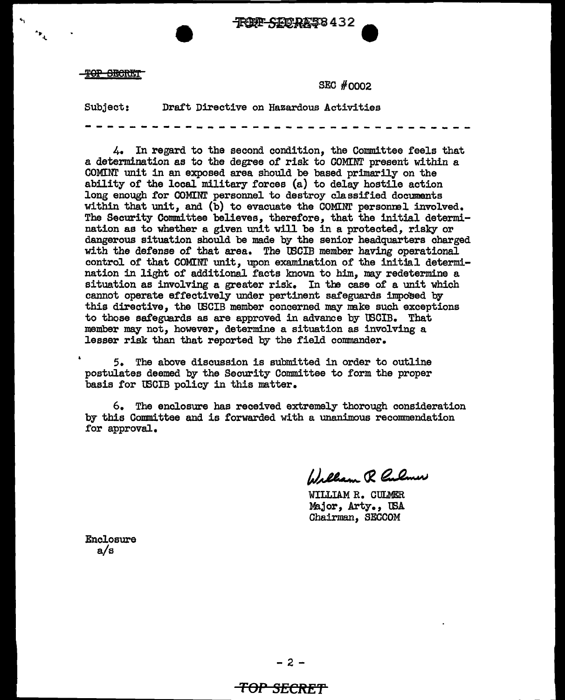TROPP SIDRAS 8432

**TOP SECRET** 

~,

.<br>م

SEC #0002

Subject: Draft Directive on Hazardous Activities --------------------------------~--

4. In regard to the second condition, the Committee feels that a determination as to the degree of risk to GOMINT present within a COMINT unit in an exposed area should be based primarily on the ability of the local military forces (a) to delay hostile action long enough for COMINT personnel to destroy classified documents within that unit, and  $(b)$  to evacuate the COMINI personnel involved. The Security Committee believes, therefore, that the initial determination as to whether a given unit will be in a protected, risky or dangerous situation should be made by the senior headquarters charged with the defense of that area. The tBCIB member having operational control of that COMINT unit, upon examination of the initial determination in light of additional facts known to him, may redetermine a situation as involving a greater risk. In the case of a unit which cannot operate effectively under pertinent safeguards imposed by this directive, the USCIB member concerned may make such exceptions to those safeguards as are approved in advance by tBCIB. That member may not, however, determine a situation as involving a lesser risk than that reported by the field commander.

5. The above discussion is submitted in order to outline postulates deemed by the Security Connnittee to form the proper basis for tBCIB policy in this matter.

6. The enclosure has received extremely thorough consideration by this Committee and is forwarded with a unanimous recommendation for approval.

Wallam R Culmer

WILLIAM R. CULMER Major, Arty., USA Chairman, SECCOM

Enclosure a/s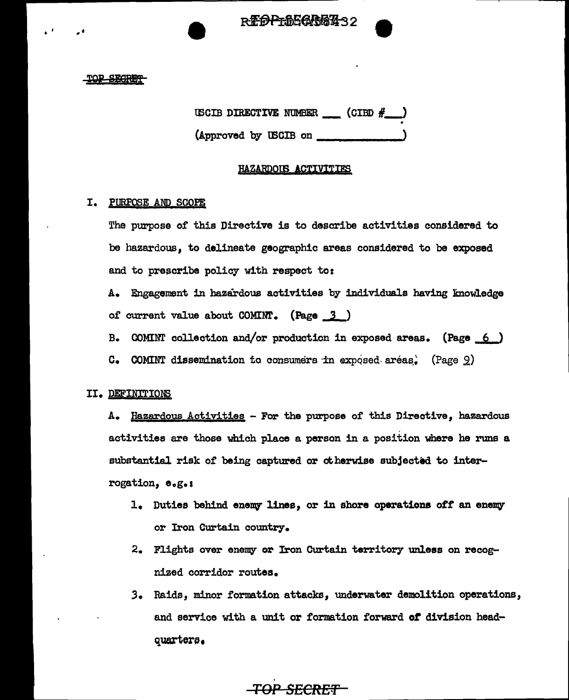REDPLDECAGE432

#### TOP SEGRET

USCIB DIRECTIVE NUMBER  $\qquad$  (CIBD  $\#$ ) •

(Approved by USCIB on \_\_\_\_

### HAZARDOUS ACTIVITIES

## I. PURPQ§E ANP SCOPE

The purpose or this Directive is to describe activities considered to be hazardous, to delineate geographic areas considered to be exposed and to prescribe policy with respect to:

A. Engagement in hazardoue activities by individuals having inowledge of current value about  $COMINT.$  (Page  $3$ )

B. COMINT collection and/or production in exposed areas. (Page  $6$ )

 $c.$  COMINT dissemination to consumers in exposed areas. (Page  $9$ )

# II• DEFINITIONS

A. Hazardous Activities - For the purpose of this Directive, hazardous activities are those which place a person in a position where he runs a substantial risk or being captured or otherwise subjected to interrogation, e.g.1

- 1. Duties behind enemy lines, or in shore operations off an enemy or Iron Curtain country.
- 2. Flights over enemy or Iron Curtain territory unless on recognized corridor routes.
- 3. Raids, minor formation attacks, underwater demolition operations, and service with a unit or formation forward or division headquarters.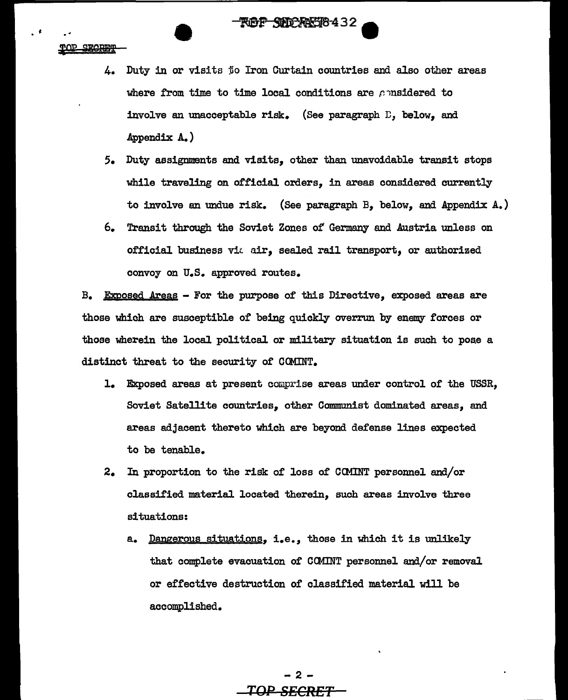**SHOPANSI8-432** 

TOP SECRET

- 4. Duty in or visits to Iron Curtain countries and also other areas where from time to time local conditions are *ponsidered* to involve an unacceptable risk. (See paragraph  $E$ , below, and Appendix A. )
- *5.* Duty assignments and visits, other than unavoidable transit stops while traveling on official orders, in areas considered currently to involve an undue risk. (See paragraph B, below, and Appendix A.)
- 6. Transit through the Soviet Zones of Germany and Austria unless on official business vit air, sealed rail transport, or authorized convoy on U.S. approved routes.

 $B<sub>•</sub>$  Exposed Areas - For the purpose of this Directive, exposed areas are those which *are* susceptible of being quickly overrun by enemy forces or those wherein the local political or military situation is such to poae a distinct threat to the security of COMINT.

- 1. Exposed areas at present comprise areas under control or the USSR, Soviet Satellite countries, other Communist dominated areas, and areas adjacent thereto which are beyond defense lines expected to be tenable.
- 2. In proportion to the risk of loss of CCMINT personnel and/or classified material located therein, such areas involve three situations:
	- a. Dangerous situations, i.e., those in which it is unlikely that complete evacuation of CCMINT personnel and/or removal or effective destruction of classified material will be accomplished.

-2- **TOP SECRET**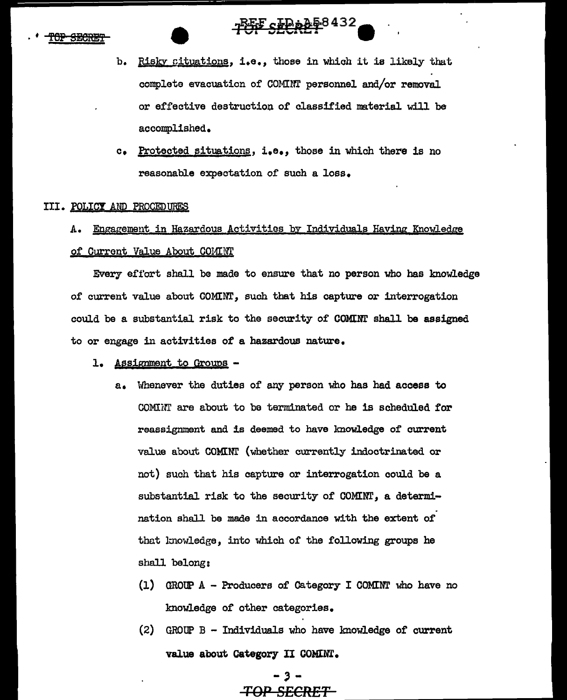# **PUFF SECRET<sup>8432</sup>**

- b. Risky cituations, i.e., those in which it is likely that complete evacuation of COMINT personnel and/or removal or effective destruction of classified material will be accomplished.
- c. Protected situations, i.e., those in which there is no reasonable expectation of such a loss.

### III. POLICY AND PROCEDURES

# A. Engagement in Hazardous Activities by Individuals Having Knowledge

# of Current Value About COMINT

Every effort shall be made to ensure that no person who has knowledge of current value about COMINT, such that his capture or interrogation could be a substantial risk to the security of COMINT shall be assigned to or engage in activities of a hazardous nature.

# l. Assignment to Groups -

- a. Whenever the duties of any person who has had access to COMINT are about to be terminated or he is scheduled for reassignment and is deemed to have lmowledge of current value about COMINI' (whether currently indoctrinated or not) such that his capture or interrogation could be a substantial risk to the security of COMINT, a determination shall be made in accordance with the extent of that knowledge, into which of the following groups he shall belong:
	- (1) GROUP  $A$  Producers of Category I COMINT who have no knowledge of other categories.
	- (2) GROUP B Individuals who have knowledge of current value about Category II GOMINT.

# \_<br>\_,\_\_ TOP SECRET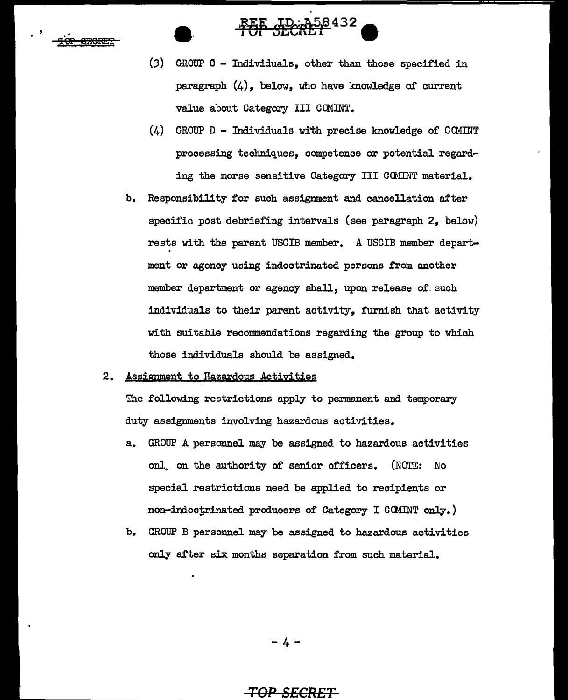₽<del>OF</del> <del>ORORES</del>

(3) GROUP C - Individuals, other than those specified in paragraph  $(4)$ , below, who have knowledge of current value about Category III COMINT.

POP SECREP<sup>432</sup>

- (4) GROUP D Individuals wi'th precise knowledge of CCMINT processing techniques, competence or potential regarding the morse sensitive Category III CGIINT material.
- b. Responsibility £or such assignment and cancellation after specific post debriefing intervals (see paragraph 2, below) rests with the parent USCIB member. A USCIB member department or agency using indoctrinated persons from another member department or agency shall, upon release of such individuals to their parent activity, furnish that activity with suitable recommendations regarding the group to which those individuals should be assigned.
- 2. Assignment to Hazardous Activities

The following restrictions apply to permanent and temporary duty assignments involving hazardous activities.

- a. GROUP A personnel may be assigned to hazardous activities onl on the authority of senior officers. (NOTE: No special restrictions need be applied to recipients or non-indoctrinated producers of Category I GOMINT only.)
- b. GROUP B personnel may be assigned to hazardous activities only after six months separation from such material.

-4-

# TQP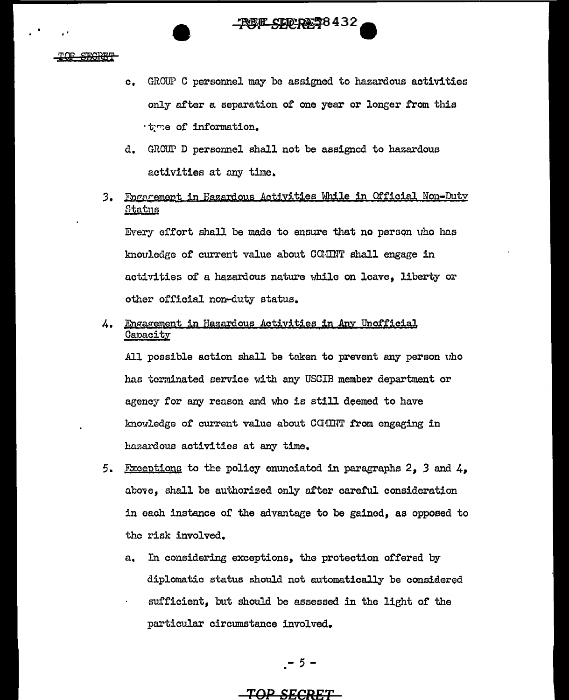**STAP RASS 432** 

..

- c. GROu"P C personnel may be assigned to hazardous activities only after a separation of one year or longer from this tyme of information.
- d. GROUP D personnel shall not be assigned to hazardous activities at any time.
- 3. Fingarement in Hazardous Activities While in Official Non-Duty **Status**

Every effort shall be made to ensure that no person uho has knouledge of current value about COMIT shall engage in activities of a hazardous nature while on leave, liberty or other official non-duty status.

4. Engagement in Hazardous Activities in Any Unofficial **Capacity** 

All possible action shall be taken to prevent any person uho has terminated service with any USCIB member department or agency for any reason and who is still deemed to have knowledge of current value about COIINT from engaging in hazardous activities at any time.

- 5. Fixceptions to the policy enunciated in paragraphs 2, 3 and  $4$ . above, shall be authorized only after careful consideration in each instance of the advantage to be gained, as opposed to the risk involved.
	- a. In considering exceptions, the protection offered by diplomatic status should not automatically be considered sufficient, but should be assessed in the light of the particular circumstance involved.

$$
-5-
$$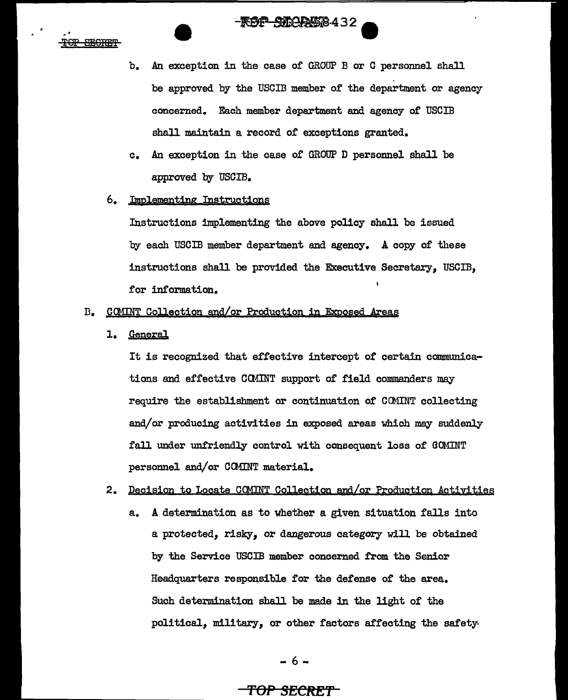# -**ROP SIDAAS8432**

<del>TOP</del> **SEGRET** 

- b. An exception in the case of GROUP B or C personnel shall be approved by the USCIB member of the department or agency concerned. Each member department and agency of USCIB shall maintain a record of exceptions granted.
- c. An exception in the case of GROUP D personnel shall be approved by USCIB.

# 6. Implementing Instructions

Instructions implementing the above policy shall be issued by each USCIB member department and agency. A copy of these instructions shall be provided the Executive Secretary, USCIB, for information.

# B. COMINT Collection and/or Production in Exposed Areas

1. General

It is recognized that effective intercept of certain communications and effective COMINT support of field commanders may require the establishment or continuation of COMINT collecting and/or producing activities in exposed areas which may suddenly fall under unfriendly control with consequent loss of GOMINT personnel and/or CCMINT material.

# 2. Decision to Locate COMINT Collection and/or Production Activities

a. A determination as to whether a given situation falls into a protected, risky, or dangerous category will be obtained by the Service USCIB member concerned from the Senior Headquarters responsible for the defense of the area. Such determination shall be made in the light of the political, military, or other factors affecting the safety

$$
-6-
$$

# **'fOP SECftE'f**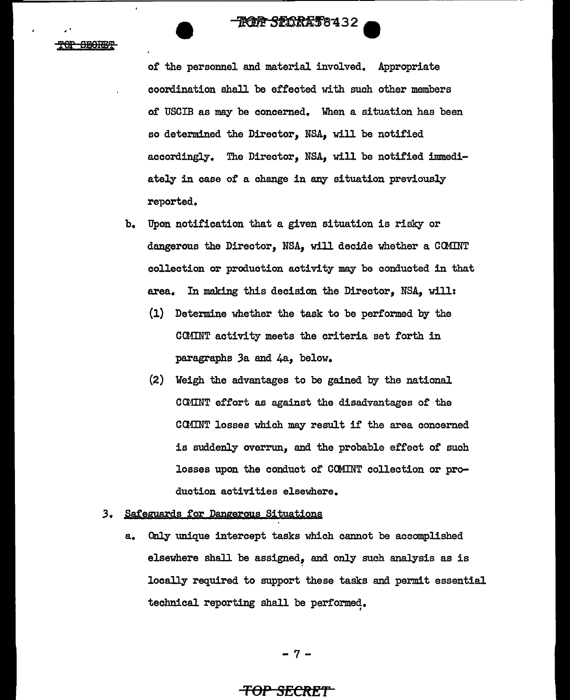**ROT SEORAT8432** 

**SEGRET** 

of the personnel and material involved. Appropriate coordination shall be effected with such other members of USCIB as may be concerned. When a situation has been so determined the Director, NSA, will be notified accordingly. The Director, NSA, will be notified immediately in case of a change in any situation previously reported.

- b. Upon notification that a given situation is risky or dangerous the Director, NSA, will decide whether a COMINT collection or production activity may be conducted in that area. In making this decision the Director, NSA, will:
	- (1) Determine whether the task to be performed by the COMINT activity meets the criteria set forth in paragraphs 3a and 4a, below.
	- (2) Weigh the advantages to be gained by the national CCMINT effort as against the disadvantages of the COMINT losses which may result if the area concerned is suddenly overrun, and the probable effect of such losses upon the conduct of COMINT collection or production activities elsewhere.
- 3. Safeguards for Dangerous Situations
	- a. Only unique intercept tasks which cannot be accomplished elsewhere shall be assigned, and only such analysis as is locally required to support these tasks and permit essential technical reporting shall be performed. '

-7-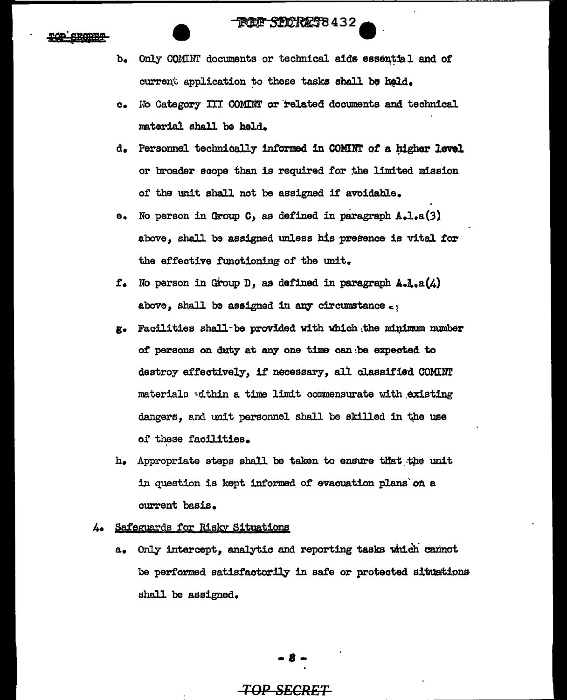# **FUE SEICRET8432**

- b. Only COMINI documents or technical aids essential and of current application to these tasks shall be held.
- c. Ho Category III OOMINT or·related documents and technical material shall be held.
- d. Personnel technically informed in COMINT of a higher level or broader scope than is required for the limited mission of the unit shall not be assigned if avoidable.
- e. No person in Group C, as defined in paragraph A.l.a(3) above, shall be assigned unless his presence is vital for the effective functioning of the unit.
- $f_{\bullet}$  No person in Group D, as defined in paragraph  $A_{\circ}A_{\circ}A(\mathcal{L})$ above, shall be assigned in any circumstance  $c$ .
- g. Facilities shall-be provided with which the minimum number of persons on duty at any one time can be expected to destroy effectively, if necessary, all classified COMINT materials within a time limit commensurate with existing dangers, and unit personnel shall be skilled in the use of these facilities.
- h. Appropriate steps shall be taken to ensure that the unit in question is kept informed of evacuation plans on a current basis.

# 4. Safeguards for Risky Situations

a. Only intercept, analytic and reporting tasks which cannot be performed satisfactorily in safe or protected situations. shall be assigned.

# $-8-$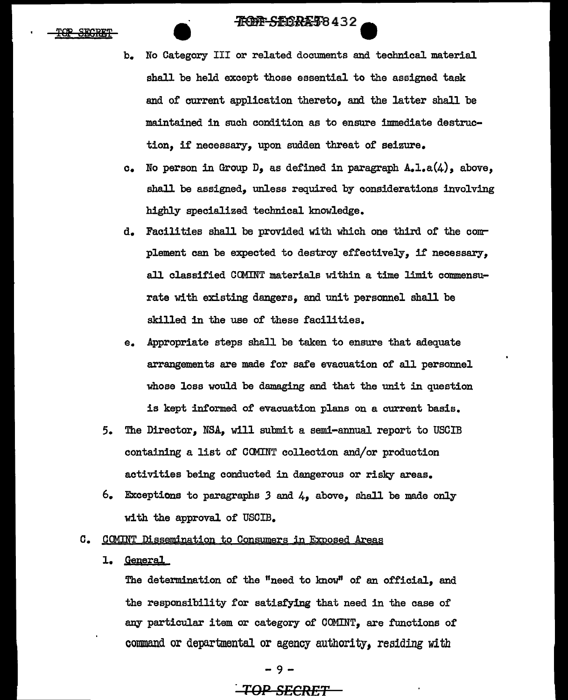# **JROPP SEORE 58432**

- TOP SECRET
- b. No Category III or related documents and technical material shall be held except those essential to the assigned task and of current application thereto, and the latter shall be maintained in such condition as to ensure immediate destruction, if necessary, upon sudden threat of seizure.
- c. No person in Group  $D_9$  as defined in paragraph  $A_9I_9a(4)$ , above, shall be assigned, unless required by considerations involving highly specialized technical knowledge.
- d. Facilities shall be provided with which one third of the complement can be expected to destroy effectively, if necessary, all classified CCMINT materials within a time limit commensurate with existing dangers, and unit personnel shall be skilled in the use of these facilities.
- e. Appropriate steps shall be taken to ensure that adequate arrangements are made for safe evacuation of all personnel whose loss would be damaging and that the unit in question is kept informed of evacuation plans on a current basis.
- 5. The Director, NSA, will submit a semi-annual report to USCIB containing a list of COMINT collection and/or production activities being conducted in dangerous or risky areas.
- 6. Exceptions to paragraphs *3* and 4, above, shall be made only with the approval of USCIB.
- c. CQMINT Dissemination to Consumers in Exposed Areas
	- 1. General

The determination of the "need to know" of an official, and the responsibility for satisfying that need in the case of any particular item or category of COMINT, are functions of command or departmental or agency authority, residing *with*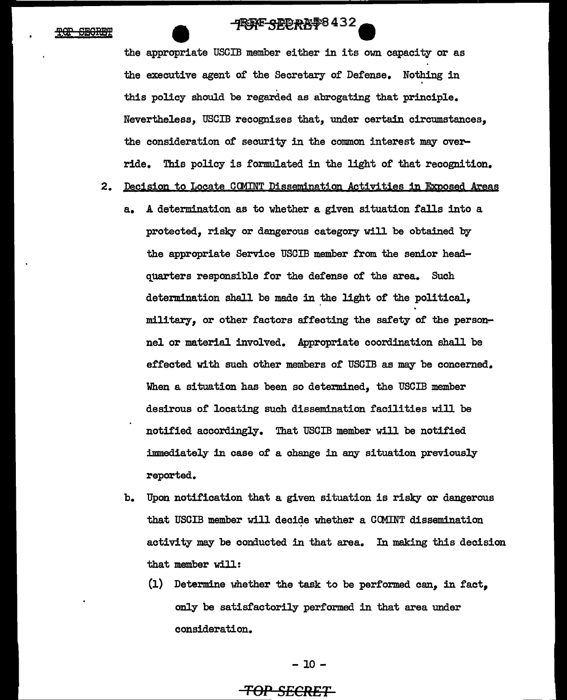# -TRAPE SERRE \$8432

the appropriate USCIB member either in its own capacity or as the executive agent of the Secretary of Defense. Nothing in ' this policy should be regarded as abrogating that principle. Nevertheless, USCIB recognizes that, under certain circumstances, the consideration of security in the common interest may override. This policy is formulated in the light of that recognition.

- 2. Decision to Locate COMINT Dissemination Activities in Exposed Areas
	- a. A determination as to whether a given situation falls into a protected, risky or dangerous category will be obtained by the appropriate Service USCIB member from the senior headquarters responsible for the defense of the area. Such determination shall be made in the light of the political, military, or other factors affecting the safety of the personnel or material involved. Appropriate coordination shall be effected with such other members of USCIB as may be concerned. When a situation has been so determined, the USCIB member desirous of locating such dissemination facilities will be notified accordingly. That USCIB member will be notified immediately in case of a change in any situation previously reported.
	- b. Upon notification that a given situation is risky or dangerous that USGIB member will decide whether a CCMINT dissemination activity may be conducted in that area. In making this decision that member will:
		- (1) Determine whether the task to be performed can, in fact, only be satisfactorily performed in that area under consideration.

## - 10 -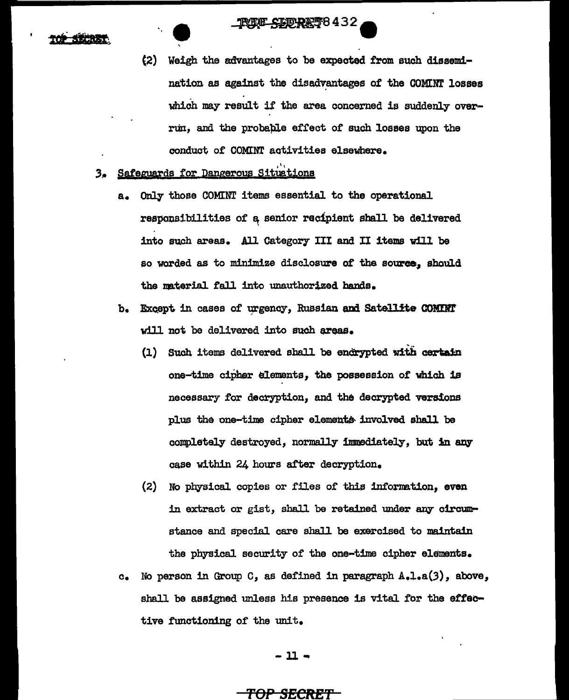- (2) Weigh the advantages to be expected from such dissemination as against the disadvantages of the COMINT losses which may result if the area concerned is suddenly overrun, and the probable effect of such losses upon the conduct of COMINT activities elsewhere.
- 3. Safeguards for Dangerous Situations
	- a. only those COMINT items essential to the operational responsibilities of a senior recipient shall be delivered into such areas. All Category III and II items will be so worded as to minimize disclosure of the source, should the naterial fall into unauthorized hands.
	- b. Except in cases of urgency, Russian and Satellite COMDNT will not be delivered into such areas.
		- (1) Such items delivered shall be encrypted with certain one-time cipher elements, the possession of which is necessary for decryption, and the decrypted versions plus the one-time cipher elements involved shall be completely destroyed, normally immediately, but in any case within 24 hours after decryption.
		- (2) No physical copies or files of this information, even in extract or gist, shall be retained under any circumstance and special. care shall be exercised to maintain the physical security of the one-time cipher elements.
	- c. No person in Group  $C_2$ , as defined in paragraph  $A_1A_2(a(3))$ , above, shall be assigned unless his presence is vital for the effeotive functioning of the unit.

- ll --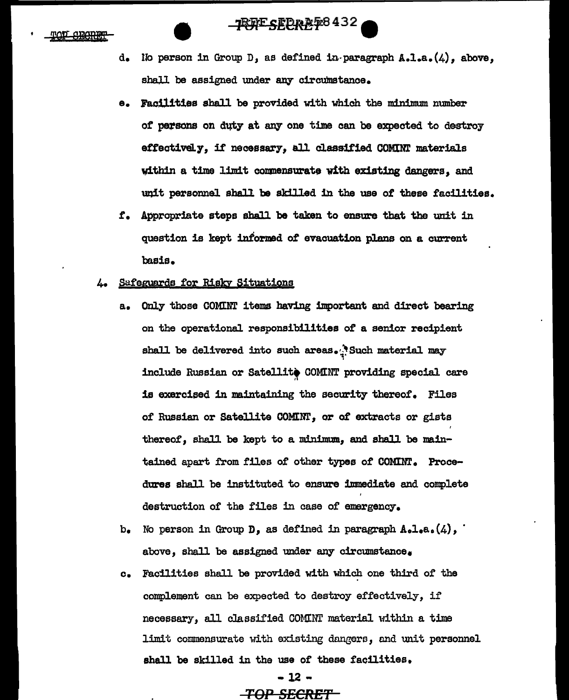# **TEAF SEEREF8432**

- d. Uo person in Group D, as defined in-paragraph A.l.a.(4), above, shall be assigned under any circumstance.
- e. Facilities shall be provided with which the minimum number of parsons on duty at any one time can be expected to destroy effectively, if necessary, all classified COMINT materials within a time limit conmensurato with existing dangers, and unit personnel shall be skilled in the use of these facilities.
- f. Appropriate steps shall be taken to ensure that the unit in question is kept informed of evacuation plans on a current basis.
- 4. Safeguards for Risky Situations
	- a. Only those COMINT items having important and direct bearing on the operational responsibilities of a senior recipient shall be delivered into such areas.<sup>1</sup> Such material may include Russian or Satellite COMINT providing special care is exercised in maintaining the security thereof. Filas of Russian or Satellite COMINT, or o£ extracts or gists thereof, shall be kept to a minimum, and shall be maintained apart from files of other types *ot* COMINT. Procedures shall be instituted to ensure immediate and complete destruction of the files in case of emergency.
	- b. No person in Group **D**, as defined in paragraph  $A_0I_0a_0(4)$ , above, shall be assigned under any circumstance.
	- c. Facilities shall be provided with which one third of the complement can be expected to destroy effectively, if necessary, all classified COMINT material within a time limit commensurate with existing dangers, and unit personnel shall be skilled in the use of these facilities.

# -12 - *TOP SECRET*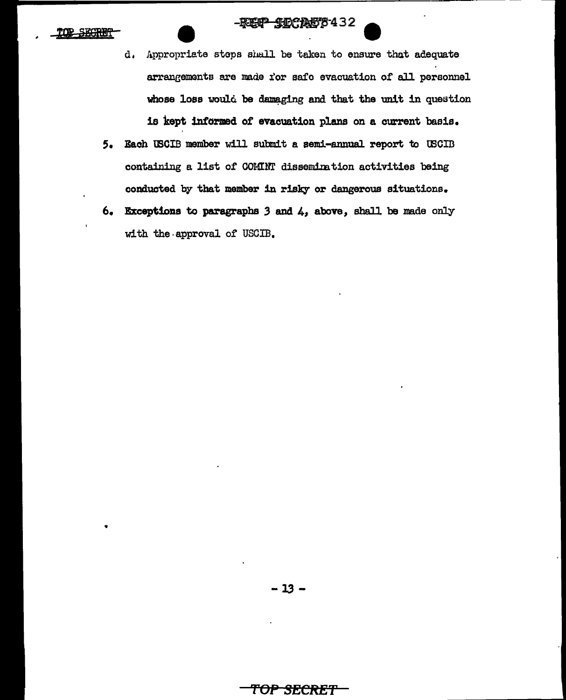#### **-\$DCA58432** -REFP

----------------------------------------------------~~~~~~~~~~~--

secret

•

- d. Appropriate steps shall be taken to ensure that adequate arrangements are made for safe evacuation of all personnel whose loss would be damaging and that the unit in question is kept informed of evacuation plans on a current basis.
- 5. Each tBOIB member will submit a semi-annual report to tBCID containing a list of COMINT dissemination activities being conducted by that member in risky or dangerous situations.
- $6.$  Exceptions to paragraphs 3 and  $4$ , above, shall be made only with the approval of USCIB.